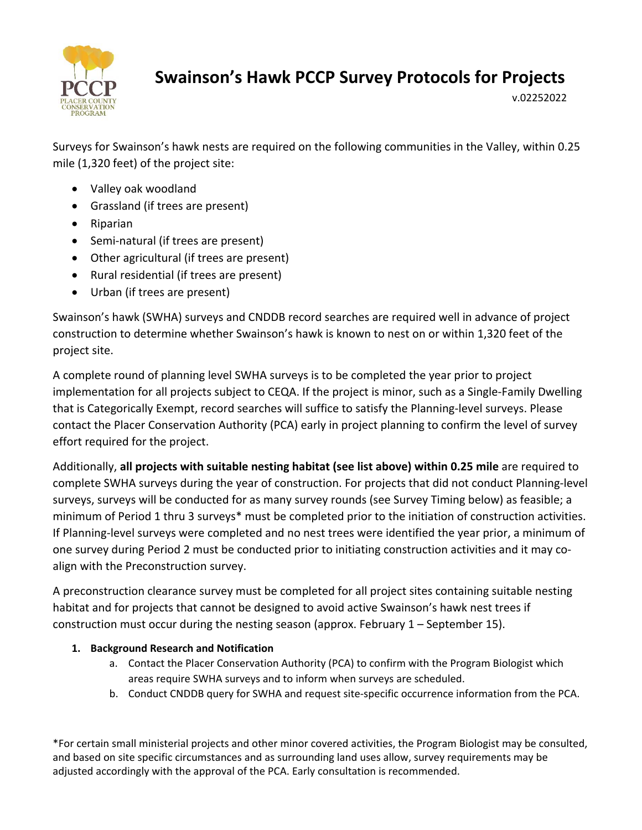

v.02252022

Surveys for Swainson's hawk nests are required on the following communities in the Valley, within 0.25 mile (1,320 feet) of the project site:

- Valley oak woodland
- Grassland (if trees are present)
- Riparian
- Semi-natural (if trees are present)
- Other agricultural (if trees are present)
- Rural residential (if trees are present)
- Urban (if trees are present)

Swainson's hawk (SWHA) surveys and CNDDB record searches are required well in advance of project construction to determine whether Swainson's hawk is known to nest on or within 1,320 feet of the project site.

A complete round of planning level SWHA surveys is to be completed the year prior to project implementation for all projects subject to CEQA. If the project is minor, such as a Single‐Family Dwelling that is Categorically Exempt, record searches will suffice to satisfy the Planning‐level surveys. Please contact the Placer Conservation Authority (PCA) early in project planning to confirm the level of survey effort required for the project.

Additionally, **all projects with suitable nesting habitat (see list above) within 0.25 mile** are required to complete SWHA surveys during the year of construction. For projects that did not conduct Planning‐level surveys, surveys will be conducted for as many survey rounds (see Survey Timing below) as feasible; a minimum of Period 1 thru 3 surveys\* must be completed prior to the initiation of construction activities. If Planning‐level surveys were completed and no nest trees were identified the year prior, a minimum of one survey during Period 2 must be conducted prior to initiating construction activities and it may co‐ align with the Preconstruction survey.

A preconstruction clearance survey must be completed for all project sites containing suitable nesting habitat and for projects that cannot be designed to avoid active Swainson's hawk nest trees if construction must occur during the nesting season (approx. February 1 – September 15).

# **1. Background Research and Notification**

- a. Contact the Placer Conservation Authority (PCA) to confirm with the Program Biologist which areas require SWHA surveys and to inform when surveys are scheduled.
- b. Conduct CNDDB query for SWHA and request site‐specific occurrence information from the PCA.

\*For certain small ministerial projects and other minor covered activities, the Program Biologist may be consulted, and based on site specific circumstances and as surrounding land uses allow, survey requirements may be adjusted accordingly with the approval of the PCA. Early consultation is recommended.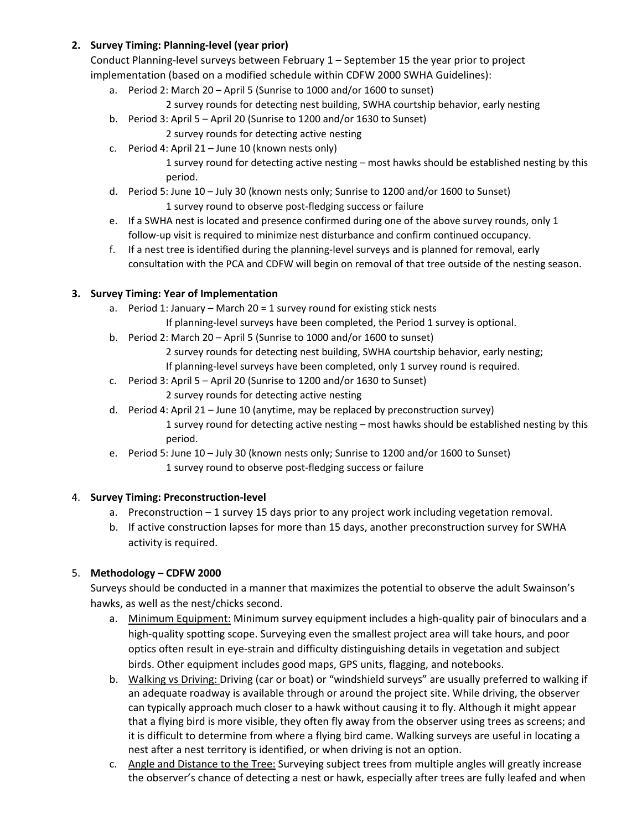### **2. Survey Timing: Planning‐level (year prior)**

Conduct Planning‐level surveys between February 1 – September 15 the year prior to project implementation (based on a modified schedule within CDFW 2000 SWHA Guidelines):

- a. Period 2: March 20 April 5 (Sunrise to 1000 and/or 1600 to sunset)
	- 2 survey rounds for detecting nest building, SWHA courtship behavior, early nesting
- b. Period 3: April 5 April 20 (Sunrise to 1200 and/or 1630 to Sunset)
	- 2 survey rounds for detecting active nesting
- c. Period 4: April 21 June 10 (known nests only)

1 survey round for detecting active nesting – most hawks should be established nesting by this period.

- d. Period 5: June 10 July 30 (known nests only; Sunrise to 1200 and/or 1600 to Sunset) 1 survey round to observe post‐fledging success or failure
- e. If a SWHA nest is located and presence confirmed during one of the above survey rounds, only 1 follow‐up visit is required to minimize nest disturbance and confirm continued occupancy.
- f. If a nest tree is identified during the planning‐level surveys and is planned for removal, early consultation with the PCA and CDFW will begin on removal of that tree outside of the nesting season.

## **3. Survey Timing: Year of Implementation**

- a. Period 1: January March 20 = 1 survey round for existing stick nests
	- If planning‐level surveys have been completed, the Period 1 survey is optional.
- b. Period 2: March 20 April 5 (Sunrise to 1000 and/or 1600 to sunset)
	- 2 survey rounds for detecting nest building, SWHA courtship behavior, early nesting;
	- If planning-level surveys have been completed, only 1 survey round is required.
- c. Period 3: April 5 April 20 (Sunrise to 1200 and/or 1630 to Sunset)
	- 2 survey rounds for detecting active nesting
- d. Period 4: April 21 June 10 (anytime, may be replaced by preconstruction survey) 1 survey round for detecting active nesting – most hawks should be established nesting by this period.
- e. Period 5: June 10 July 30 (known nests only; Sunrise to 1200 and/or 1600 to Sunset) 1 survey round to observe post‐fledging success or failure

# 4. **Survey Timing: Preconstruction‐level**

- a. Preconstruction 1 survey 15 days prior to any project work including vegetation removal.
- b. If active construction lapses for more than 15 days, another preconstruction survey for SWHA activity is required.

# 5. **Methodology – CDFW 2000**

Surveys should be conducted in a manner that maximizes the potential to observe the adult Swainson's hawks, as well as the nest/chicks second.

- a. Minimum Equipment: Minimum survey equipment includes a high‐quality pair of binoculars and a high-quality spotting scope. Surveying even the smallest project area will take hours, and poor optics often result in eye‐strain and difficulty distinguishing details in vegetation and subject birds. Other equipment includes good maps, GPS units, flagging, and notebooks.
- b. Walking vs Driving: Driving (car or boat) or "windshield surveys" are usually preferred to walking if an adequate roadway is available through or around the project site. While driving, the observer can typically approach much closer to a hawk without causing it to fly. Although it might appear that a flying bird is more visible, they often fly away from the observer using trees as screens; and it is difficult to determine from where a flying bird came. Walking surveys are useful in locating a nest after a nest territory is identified, or when driving is not an option.
- c. Angle and Distance to the Tree: Surveying subject trees from multiple angles will greatly increase the observer's chance of detecting a nest or hawk, especially after trees are fully leafed and when